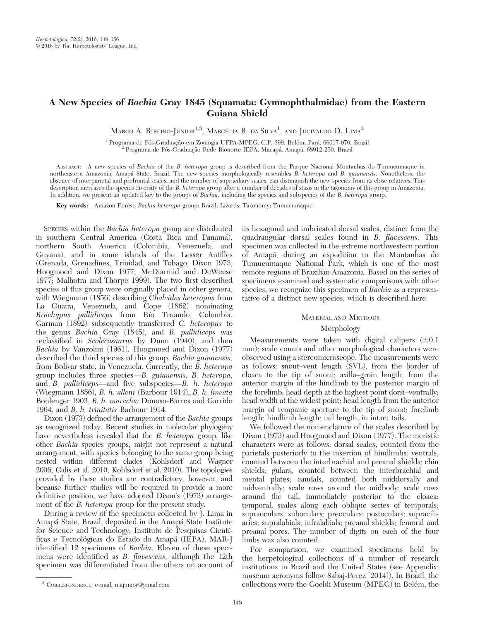# A New Species of Bachia Gray 1845 (Squamata: Gymnophthalmidae) from the Eastern Guiana Shield

Marco A. Ribeiro-Júnior<sup>1,3</sup>, Marcélia B. da Silva<sup>1</sup>, and Jucivaldo D. Lima<sup>2</sup>

 $^1$  Programa de Pós-Graduação em Zoologia UFPA-MPEG, C.P. 399, Belém, Pará, 66017-970, Brazil $^2$  Programa de Pós-Graduação Rede Bionorte IEPA, Macapá, Amapá, 68912-250, Brazil

ABSTRACT: A new species of Bachia of the B. heteropa group is described from the Parque Nacional Montanhas do Tumucumaque in northeastern Amazonia, Amapá State, Brazil. The new species morphologically resembles B. heteropa and B. guianensis. Nonetheless, the absence of interparietal and prefrontal scales, and the number of supraciliary scales, can distinguish the new species from its close relatives. This description increases the species diversity of the B. heteropa group after a number of decades of stasis in the taxonomy of this group in Amazonia. In addition, we present an updated key to the groups of Bachia, including the species and subspecies of the B. heteropa group.

Key words: Amazon Forest; Bachia heteropa group; Brazil; Lizards; Taxonomy; Tumucumaque

SPECIES within the Bachia heteropa group are distributed in southern Central America (Costa Rica and Panama´), northern South America (Colombia, Venezuela, and Guyana), and in some islands of the Lesser Antilles (Grenada, Grenadines, Trinidad, and Tobago; Dixon 1973; Hoogmoed and Dixon 1977; McDiarmid and DeWeese 1977; Malhotra and Thorpe 1999). The two first described species of this group were originally placed in other genera, with Wiegmann (1856) describing Chalcides heteropus from La Guaira, Venezuela, and Cope (1862) nominating Brachypus pallidiceps from Río Truando, Colombia. Garman (1892) subsequently transferred C. heteropus to the genus Bachia Gray (1845), and B. pallidiceps was reclassified in Scolecosaurus by Dunn (1940), and then Bachia by Vanzolini (1961). Hoogmoed and Dixon (1977) described the third species of this group, Bachia guianensis, from Bolívar state, in Venezuela. Currently, the  $\overline{B}$ . heteropa group includes three species—B. guianensis, B. heteropa, and B. pallidiceps—and five subspecies—B. h. heteropa (Wiegmann 1856), B. h. alleni (Barbour 1914), B. h. lineata Boulenger 1903, B. h. marcelae Donoso-Barros and Garrido 1964, and B. h. trinitatis Barbour 1914.

Dixon (1973) defined the arrangement of the Bachia groups as recognized today. Recent studies in molecular phylogeny have nevertheless revealed that the *B. heteropa* group, like other Bachia species groups, might not represent a natural arrangement, with species belonging to the same group being nested within different clades (Kohlsdorf and Wagner 2006; Galis et al. 2010; Kohlsdorf et al. 2010). The topologies provided by these studies are contradictory, however, and because further studies will be required to provide a more definitive position, we have adopted Dixon's (1973) arrangement of the *B. heteropa* group for the present study.

During a review of the specimens collected by J. Lima in Amapá State, Brazil, deposited in the Amapá State Institute for Science and Technology, Instituto de Pesquisas Cientı´ ficas e Tecnológicas do Estado do Amapá (IEPA), MAR-J identified 12 specimens of Bachia. Eleven of these specimens were identified as B. flavescens, although the 12th specimen was differentiated from the others on account of its hexagonal and imbricated dorsal scales, distinct from the quadrangular dorsal scales found in B. flavescens. This specimen was collected in the extreme northwestern portion of Amapa´, during an expedition to the Montanhas do Tumucumaque National Park, which is one of the most remote regions of Brazilian Amazonia. Based on the series of specimens examined and systematic comparisons with other species, we recognize this specimen of *Bachia* as a representative of a distinct new species, which is described here.

# MATERIAL AND METHODS

# Morphology

Measurements were taken with digital calipers  $(\pm 0.1)$ mm); scale counts and other morphological characters were observed using a stereomicroscope. The measurements were as follows: snout–vent length (SVL), from the border of cloaca to the tip of snout; axilla–groin length, from the anterior margin of the hindlimb to the posterior margin of the forelimb; head depth at the highest point dorsi–ventrally; head width at the widest point; head length from the anterior margin of tympanic aperture to the tip of snout; forelimb length; hindlimb length; tail length, in intact tails.

We followed the nomenclature of the scales described by Dixon (1973) and Hoogmoed and Dixon (1977). The meristic characters were as follows: dorsal scales, counted from the parietals posteriorly to the insertion of hindlimbs; ventrals, counted between the interbrachial and preanal shields; chin shields; gulars, counted between the interbrachial and mental plates; caudals, counted both middorsally and midventrally; scale rows around the midbody; scale rows around the tail, immediately posterior to the cloaca; temporal, scales along each oblique series of temporals; supraoculars; suboculars; preoculars; postoculars; supraciliaries; supralabials; infralabials; preanal shields; femoral and preanal pores. The number of digits on each of the four limbs was also counted.

For comparison, we examined specimens held by the herpetological collections of a number of research institutions in Brazil and the United States (see Appendix; museum acronyms follow Sabaj-Perez [2014]). In Brazil, the <sup>3</sup> CORRESPONDENCE: e-mail, majunior@gmail.com collections were the Goeldi Museum (MPEG) in Belém, the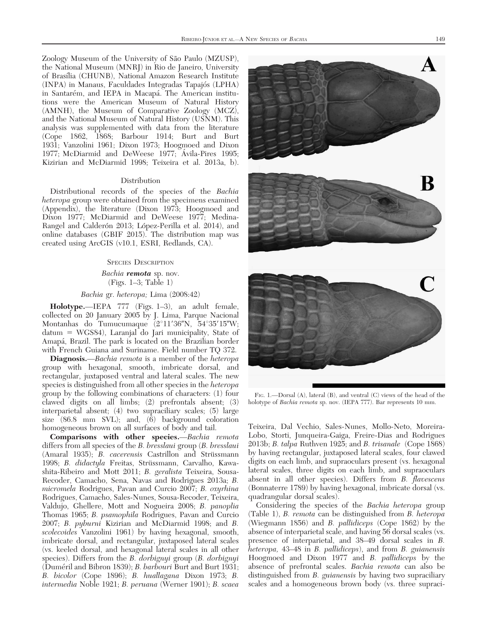Zoology Museum of the University of São Paulo (MZUSP), the National Museum (MNRJ) in Rio de Janeiro, University of Brasília (CHUNB), National Amazon Research Institute (INPA) in Manaus, Faculdades Integradas Tapajo´s (LPHA) in Santarém, and IEPA in Macapá. The American institutions were the American Museum of Natural History (AMNH), the Museum of Comparative Zoology (MCZ), and the National Museum of Natural History (USNM). This analysis was supplemented with data from the literature (Cope 1862, 1868; Barbour 1914; Burt and Burt 1931; Vanzolini 1961; Dixon 1973; Hoogmoed and Dixon 1977; McDiarmid and DeWeese 1977; Avila-Pires 1995; Kizirian and McDiarmid 1998; Teixeira et al. 2013a, b).

#### **Distribution**

Distributional records of the species of the Bachia heteropa group were obtained from the specimens examined (Appendix), the literature (Dixon 1973; Hoogmoed and Dixon 1977; McDiarmid and DeWeese 1977; Medina-Rangel and Calderón 2013; López-Perilla et al. 2014), and online databases (GBIF 2015). The distribution map was created using ArcGIS (v10.1, ESRI, Redlands, CA).

#### SPECIES DESCRIPTION

Bachia remota sp. nov. (Figs. 1–3; Table 1)

#### Bachia gr. heteropa; Lima (2008:42)

Holotype.—IEPA 777 (Figs. 1–3), an adult female, collected on 20 January 2005 by J. Lima, Parque Nacional Montanhas do Tumucumaque  $(2^{\circ}11'36''N, 54^{\circ}35'15''W;$  $\text{datum} = \text{WGS84}$ , Laranjal do Jari municipality, State of Amapa´, Brazil. The park is located on the Brazilian border with French Guiana and Suriname. Field number TQ 372.

Diagnosis.—Bachia remota is a member of the heteropa group with hexagonal, smooth, imbricate dorsal, and rectangular, juxtaposed ventral and lateral scales. The new species is distinguished from all other species in the *heteropa* group by the following combinations of characters: (1) four clawed digits on all limbs; (2) prefrontals absent; (3) interparietal absent; (4) two supraciliary scales; (5) large size (86.8 mm SVL); and, (6) background coloration homogeneous brown on all surfaces of body and tail.

Comparisons with other species.—Bachia remota differs from all species of the B. bresslaui group (B. bresslaui (Amaral 1935); *B. cacerensis* Castrillon and Strüssmann 1998; B. didactyla Freitas, Strüssmann, Carvalho, Kawashita-Ribeiro and Mott 2011; B. geralista Teixeira, Sousa-Recoder, Camacho, Sena, Navas and Rodrigues 2013a; B. micromela Rodrigues, Pavan and Curcio 2007; B. oxyrhina Rodrigues, Camacho, Sales-Nunes, Sousa-Recoder, Teixeira, Valdujo, Ghellere, Mott and Nogueira 2008; B. panoplia Thomas 1965; B. psamophila Rodrigues, Pavan and Curcio 2007; B. pyburni Kizirian and McDiarmid 1998; and B. scolecoides Vanzolini 1961) by having hexagonal, smooth, imbricate dorsal, and rectangular, juxtaposed lateral scales (vs. keeled dorsal, and hexagonal lateral scales in all other species). Differs from the *B. dorbignyi* group (*B. dorbignyi* (Duméril and Bibron 1839); B. barbouri Burt and Burt 1931; B. bicolor (Cope 1896); B. huallagana Dixon 1973; B. intermedia Noble 1921; B. peruana (Werner 1901); B. scaea



FIG. 1.—Dorsal (A), lateral (B), and ventral (C) views of the head of the holotype of Bachia remota sp. nov. (IEPA 777). Bar represents 10 mm.

Teixeira, Dal Vechio, Sales-Nunes, Mollo-Neto, Moreira-Lobo, Storti, Junqueira-Gaiga, Freire-Dias and Rodrigues 2013b; B. talpa Ruthven 1925; and B. trisanale (Cope 1868) by having rectangular, juxtaposed lateral scales, four clawed digits on each limb, and supraoculars present (vs. hexagonal lateral scales, three digits on each limb, and supraoculars absent in all other species). Differs from B. flavescens (Bonnaterre 1789) by having hexagonal, imbricate dorsal (vs. quadrangular dorsal scales).

Considering the species of the Bachia heteropa group (Table 1), B. remota can be distinguished from B. heteropa (Wiegmann 1856) and B. pallidiceps (Cope 1862) by the absence of interparietal scale, and having 56 dorsal scales (vs. presence of interparietal, and 38–49 dorsal scales in B. heteropa, 43–48 in B. pallidiceps), and from B. guianensis Hoogmoed and Dixon 1977 and B. pallidiceps by the absence of prefrontal scales. Bachia remota can also be distinguished from *B. guianensis* by having two supraciliary scales and a homogeneous brown body (vs. three supraci-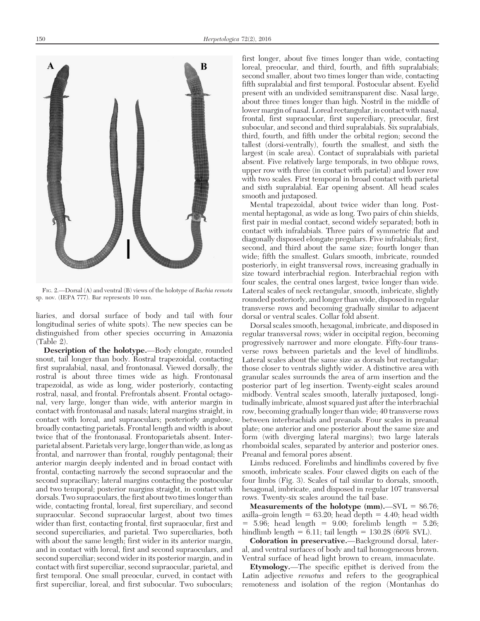FIG. 2.—Dorsal (A) and ventral (B) views of the holotype of Bachia remota sp. nov. (IEPA 777). Bar represents 10 mm.

liaries, and dorsal surface of body and tail with four longitudinal series of white spots). The new species can be distinguished from other species occurring in Amazonia (Table 2).

Description of the holotype.—Body elongate, rounded snout, tail longer than body. Rostral trapezoidal, contacting first supralabial, nasal, and frontonasal. Viewed dorsally, the rostral is about three times wide as high. Frontonasal trapezoidal, as wide as long, wider posteriorly, contacting rostral, nasal, and frontal. Prefrontals absent. Frontal octagonal, very large, longer than wide, with anterior margin in contact with frontonasal and nasals; lateral margins straight, in contact with loreal, and supraoculars; posteriorly angulose, broadly contacting parietals. Frontal length and width is about twice that of the frontonasal. Frontoparietals absent. Interparietal absent. Parietals very large, longer than wide, as long as frontal, and narrower than frontal, roughly pentagonal; their anterior margin deeply indented and in broad contact with frontal, contacting narrowly the second supraocular and the second supraciliary; lateral margins contacting the postocular and two temporal; posterior margins straight, in contact with dorsals. Two supraoculars, the first about two times longer than wide, contacting frontal, loreal, first superciliary, and second supraocular. Second supraocular largest, about two times wider than first, contacting frontal, first supraocular, first and second superciliaries, and parietal. Two superciliaries, both with about the same length; first wider in its anterior margin, and in contact with loreal, first and second supraoculars, and second superciliar; second wider in its posterior margin, and in contact with first superciliar, second supraocular, parietal, and first temporal. One small preocular, curved, in contact with first superciliar, loreal, and first subocular. Two suboculars;

first longer, about five times longer than wide, contacting loreal, preocular, and third, fourth, and fifth supralabials; second smaller, about two times longer than wide, contacting fifth supralabial and first temporal. Postocular absent. Eyelid present with an undivided semitransparent disc. Nasal large, about three times longer than high. Nostril in the middle of lower margin of nasal. Loreal rectangular, in contact with nasal, frontal, first supraocular, first superciliary, preocular, first subocular, and second and third supralabials. Six supralabials, third, fourth, and fifth under the orbital region; second the tallest (dorsi-ventrally), fourth the smallest, and sixth the largest (in scale area). Contact of supralabials with parietal absent. Five relatively large temporals, in two oblique rows, upper row with three (in contact with parietal) and lower row with two scales. First temporal in broad contact with parietal and sixth supralabial. Ear opening absent. All head scales smooth and juxtaposed.

Mental trapezoidal, about twice wider than long. Postmental heptagonal, as wide as long. Two pairs of chin shields, first pair in medial contact, second widely separated; both in contact with infralabials. Three pairs of symmetric flat and diagonally disposed elongate pregulars. Five infralabials; first, second, and third about the same size; fourth longer than wide; fifth the smallest. Gulars smooth, imbricate, rounded posteriorly, in eight transversal rows, increasing gradually in size toward interbrachial region. Interbrachial region with four scales, the central ones largest, twice longer than wide. Lateral scales of neck rectangular, smooth, imbricate, slightly rounded posteriorly, and longer than wide, disposed in regular transverse rows and becoming gradually similar to adjacent dorsal or ventral scales. Collar fold absent.

Dorsal scales smooth, hexagonal, imbricate, and disposed in regular transversal rows; wider in occipital region, becoming progressively narrower and more elongate. Fifty-four transverse rows between parietals and the level of hindlimbs. Lateral scales about the same size as dorsals but rectangular; those closer to ventrals slightly wider. A distinctive area with granular scales surrounds the area of arm insertion and the posterior part of leg insertion. Twenty-eight scales around midbody. Ventral scales smooth, laterally juxtaposed, longitudinally imbricate, almost squared just after the interbrachial row, becoming gradually longer than wide; 40 transverse rows between interbrachials and preanals. Four scales in preanal plate; one anterior and one posterior about the same size and form (with diverging lateral margins); two large laterals rhomboidal scales, separated by anterior and posterior ones. Preanal and femoral pores absent.

Limbs reduced. Forelimbs and hindlimbs covered by five smooth, imbricate scales. Four clawed digits on each of the four limbs (Fig. 3). Scales of tail similar to dorsals, smooth, hexagonal, imbricate, and disposed in regular 107 transversal rows. Twenty-six scales around the tail base.

Measurements of the holotype  $(mm)$ .  $-SVL = 86.76$ ; axilla–groin length =  $63.20$ ; head depth =  $4.40$ ; head width  $= 5.96$ ; head length  $= 9.00$ ; forelimb length  $= 5.26$ ; hindlimb length  $= 6.11$ ; tail length  $= 130.28$  (60% SVL).

Coloration in preservative.—Background dorsal, lateral, and ventral surfaces of body and tail homogeneous brown. Ventral surface of head light brown to cream, immaculate.

Etymology.—The specific epithet is derived from the Latin adjective remotus and refers to the geographical remoteness and isolation of the region (Montanhas do

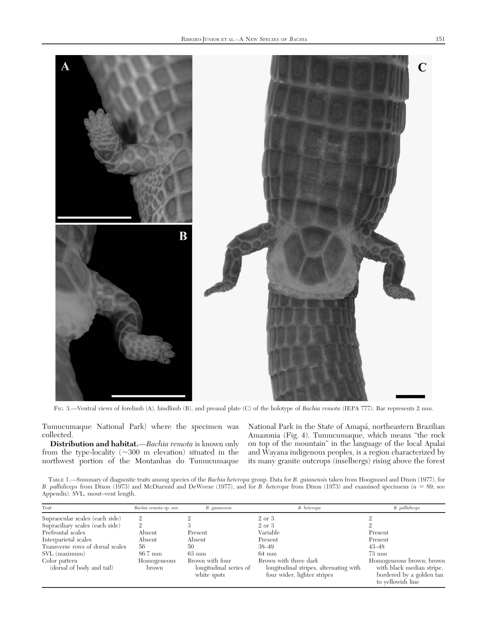

Tumucumaque National Park) where the specimen was collected.

Distribution and habitat.—Bachia remota is known only from the type-locality  $(\sim 300 \text{ m}$  elevation) situated in the northwest portion of the Montanhas do Tumucumaque

National Park in the State of Amapá, northeastern Brazilian Amazonia (Fig. 4). Tumucumaque, which means "the rock on top of the mountain" in the language of the local Apalai and Wayana indigenous peoples, is a region characterized by its many granite outcrops (inselbergs) rising above the forest

TABLE 1.—Summary of diagnostic traits among species of the Bachia heteropa group. Data for B. guianensis taken from Hoogmoed and Dixon (1977), for B. pallidiceps from Dixon (1973) and McDiarmid and DeWeese (1977), and for B. heteropa from Dixon (1973) and examined specimens ( $n = 89$ ; see Appendix). SVL, snout–vent length.

| Trait                                      | Bachia remota sp. nov. | B. guianensis                                            | B. heteropa                                                                                    | B. pallidiceps                                                                                         |
|--------------------------------------------|------------------------|----------------------------------------------------------|------------------------------------------------------------------------------------------------|--------------------------------------------------------------------------------------------------------|
| Supraocular scales (each side)             | $\mathfrak{2}$         |                                                          | 2 or 3                                                                                         |                                                                                                        |
| Supraciliary scales (each side)            |                        |                                                          | 2 or 3                                                                                         |                                                                                                        |
| Prefrontal scales                          | Absent                 | Present                                                  | Variable                                                                                       | Present                                                                                                |
| Interparietal scales                       | Absent                 | Absent                                                   | Present                                                                                        | Present                                                                                                |
| Transverse rows of dorsal scales           | 56                     | 50                                                       | 38–49                                                                                          | $43 - 48$                                                                                              |
| SVL (maximum)                              | 86.7 mm                | $63 \text{ mm}$                                          | $64 \text{ mm}$                                                                                | $73 \text{ mm}$                                                                                        |
| Color pattern<br>(dorsal of body and tail) | Homogeneous<br>brown   | Brown with four<br>longitudinal series of<br>white spots | Brown with three dark<br>longitudinal stripes, alternating with<br>four wider, lighter stripes | Homogeneous brown; brown<br>with black median stripe,<br>bordered by a golden tan<br>to yellowish line |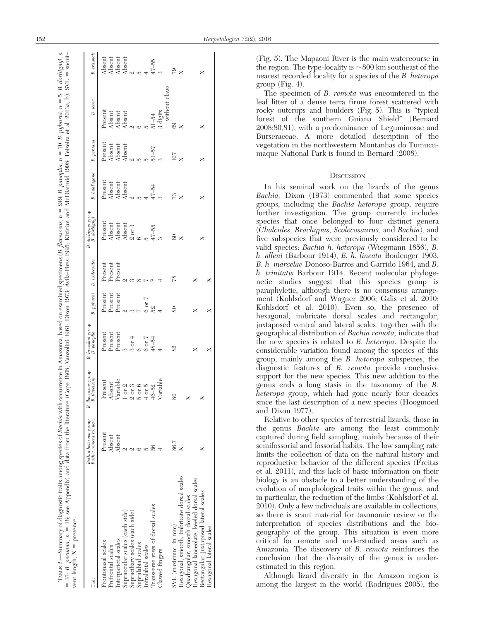|                     | $\overline{\phantom{a}}$<br>$\overline{1}$ |  |
|---------------------|--------------------------------------------|--|
|                     | ×<br>ا                                     |  |
|                     |                                            |  |
| I                   |                                            |  |
| $\frac{1}{2}$       |                                            |  |
| na ranna            |                                            |  |
|                     |                                            |  |
|                     |                                            |  |
| $\frac{1}{3}$       |                                            |  |
|                     |                                            |  |
|                     |                                            |  |
|                     | j                                          |  |
| י<br>וו             |                                            |  |
|                     |                                            |  |
|                     | <b>William State</b>                       |  |
|                     |                                            |  |
| ļ                   |                                            |  |
|                     |                                            |  |
|                     |                                            |  |
|                     | Ì                                          |  |
|                     | ļ                                          |  |
|                     |                                            |  |
|                     |                                            |  |
|                     |                                            |  |
| ļ                   | ĺ                                          |  |
|                     |                                            |  |
|                     |                                            |  |
|                     | i<br>)                                     |  |
|                     | J                                          |  |
|                     | i                                          |  |
| I                   | $\overline{\phantom{a}}$                   |  |
|                     | $\sum_{i=1}^{n}$                           |  |
| j                   |                                            |  |
| ļ                   | ٢                                          |  |
| re or               |                                            |  |
|                     | í                                          |  |
| $\frac{1}{2}$       | coo                                        |  |
|                     |                                            |  |
|                     | $\mathsf{I}$                               |  |
|                     | $\mathbf{I}$                               |  |
| ı                   |                                            |  |
| ļ<br>$\overline{a}$ | l<br>١                                     |  |
| E                   | $= 37$<br>j<br>Ï                           |  |

| (Fig. 5). The Mapaoni River is the main watercourse in<br>$\begin{array}{l} \mbox{Absent} \\ \mbox{Absent} \\ \mbox{Absent} \\ \mbox{Absent} \\ 2 \\ \mbox{b} \\ 4 \\ \end{array}$<br>the region. The type-locality is $\sim$ 800 km southeast of the<br>$\mathbb{R}$ $\times$<br>×<br>nearest recorded locality for a species of the <i>B. heteropa</i><br>group (Fig. 4).<br>without claws<br>The specimen of <i>B. remota</i> was encountered in the<br>leaf litter of a dense terra firme forest scattered with<br>rocky outcrops and boulders (Fig. 5). This is "typical<br>$\ensuremath{\textsc{Present}}$<br>$\begin{tabular}{ll} Ascent\\ Absent\\ Absent\\ Absent\\ Ascent\\ Ascent\\  2 & 0\\ 5 & 5\\ 3 \end{tabular}$<br>forest of the southern Guiana Shield" (Bernard<br>$\frac{8}{8}$<br>×<br>2008:80,81), with a predominance of Leguminosae and<br>Burseraceae. A more detailed description of the<br>vegetation in the northwestern Montanhas do Tumucu-<br>$\begin{array}{l} \mbox{Present} \\ \mbox{Absent} \\ \mbox{Absent} \\ \mbox{Absent} \\ \mbox{Absent} \\ \mbox{Absent} \\ \mbox{Absent} \\ \mbox{Abend} \\ \mbox{S3-57} \\ \mbox{S3-57} \\ \mbox{S3-57} \\ \mbox{S3-57} \\ \mbox{S3-57} \\ \mbox{S3-57} \\ \mbox{S3-57} \\ \mbox{S3-57} \\ \mbox{S3-57} \\ \mbox{S3-57} \\ \mbox{S3-57} \\ \mbox{S3-57} \\ \mbox{S3-57} \\ \mbox{S3-$<br>maque National Park is found in Bernard (2008).<br>$_{\rm X}^{\rm LOI}$<br>×<br>DISCUSSION<br>$\begin{array}{l} \mbox{Present} \\ \mbox{Absent} \\ \mbox{Absent} \\ \mbox{Absent} \\ \mbox{Absent} \\ \mbox{Al} \\ \mbox{Al} \\ \mbox{Al} \\ \mbox{Al} \\ \mbox{Al} \\ \mbox{Al} \\ \mbox{Al} \\ \mbox{Al} \\ \mbox{Al} \\ \mbox{Al} \\ \mbox{Al} \\ \mbox{Al} \\ \mbox{Al} \\ \mbox{Al} \\ \mbox{Al} \\ \mbox{Al} \\ \mbox{Al} \\ \mbox{Al} \\ \mbox{Al} \\ \mbox{Al} \\ \mbox{Al} \\ \mbox{Al} \\ \mbox{Al} \\ \mbox{Al} \\ \mbox{Al}$<br>In his seminal work on the lizards of the genus<br><i>Bachia</i> , Dixon (1973) commented that some species<br>$R \times$<br>×<br>groups, including the <i>Bachia heteropa</i> group, require<br>further investigation. The group currently includes<br>species that once belonged to four distinct genera<br>$\begin{array}{l} \text{Present} \\ \text{Absent} \\ \text{Absent} \\ \text{Absent} \\ \text{Absent} \\ \text{Absent} \\ \text{Absent} \\ \text{A} \\ \text{B} \\ \text{A} \\ \text{A} \\ \text{B} \\ \text{B} \\ \text{A} \\ \text{A} \\ \text{B} \\ \text{B} \\ \text{A} \\ \text{B} \\ \text{B} \\ \text{B} \\ \text{B} \\ \text{B} \\ \text{B} \\ \text{B} \\ \text{B} \\ \text{B} \\ \text{B} \\ \text{B} \\ \text{B} \\ \text{B} \\ \text{B} \\ \text{B} \\ \text{B} \\ \text{$<br>(Chalcides, Brachypus, Scolecosaurus, and Bachia), and<br>$\frac{8}{x}$<br>five subspecies that were previously considered to be<br>×<br>valid species: <i>Bachia h. heteropa</i> (Wiegmann 1856), <i>B.</i><br>h. alleni (Barbour 1914), B. h. lineata Boulenger 1903,<br>B. h. marcelae Donoso-Barros and Garrido 1964, and B.<br>$\begin{minipage}{0.9\linewidth} \begin{tabular}{l} \multicolumn{2}{c}{\textbf{h}} & \multicolumn{2}{c}{\textbf{h}} & \multicolumn{2}{c}{\textbf{h}} & \multicolumn{2}{c}{\textbf{h}} & \multicolumn{2}{c}{\textbf{h}} & \multicolumn{2}{c}{\textbf{h}} & \multicolumn{2}{c}{\textbf{h}} & \multicolumn{2}{c}{\textbf{h}} & \multicolumn{2}{c}{\textbf{h}} & \multicolumn{2}{c}{\textbf{h}} & \multicolumn{2}{c}{\textbf{h}} & \multicolumn{2}{c}{\textbf{h}} & \multicolumn{2}{$<br>h. trinitatis Barbour 1914. Recent molecular phyloge-<br>$\frac{8}{7}$<br>×<br>×<br>netic studies suggest that this species group is<br>paraphyletic, although there is no consensus arrange-<br>$\begin{array}{l} \text{Present} \\ \text{Present} \\ \text{0.0} \\ \text{0.0} \\ \text{0.0} \\ \text{0.0} \\ \text{0.0} \\ \text{0.0} \\ \text{0.0} \\ \text{0.0} \\ \text{0.0} \\ \text{0.0} \\ \text{0.0} \\ \text{0.0} \\ \text{0.0} \\ \text{0.0} \\ \text{0.0} \\ \text{0.0} \\ \text{0.0} \\ \text{0.0} \\ \text{0.0} \\ \text{0.0} \\ \text{0.0} \\ \text{0.0} \\ \text{0.0} \\ \text{0.0} \\ \text{0.0} \\ \$<br>Present<br>ment (Kohlsdorf and Wagner 2006; Galis et al. 2010;<br>Kohlsdorf et al. 2010). Even so, the presence of<br>$80\,$<br>×<br>×<br>hexagonal, imbricate dorsal scales and rectangular,<br>juxtaposed ventral and lateral scales, together with the<br>geographical distribution of Bachia remota, indicate that<br>$\begin{tabular}{ll} \bf{Present} \\ \bf{Present} \\ \bf{Present} \\ \bf{Present} \\ \bf{on} \\ \bf{on} \\ \bf{on} \\ \bf{on} \\ \bf{on} \\ \bf{on} \\ \bf{on} \\ \bf{on} \\ \bf{on} \\ \bf{on} \\ \bf{on} \\ \bf{on} \\ \bf{on} \\ \bf{on} \\ \bf{on} \\ \bf{on} \\ \bf{on} \\ \bf{on} \\ \bf{on} \\ \bf{on} \\ \bf{on} \\ \bf{on} \\ \bf{on} \\ \bf{on} \\ \bf{on} \\ \bf{on} \\ \bf{on} \\ \bf{on} \\ \bf{on} \\ \bf{on} \\ \bf{on} \\ \bf$<br>$48 - 54$<br>the new species is related to <i>B. heteropa</i> . Despite the<br>82<br>×<br>×<br>considerable variation found among the species of this<br>group, mainly among the <i>B. heteropa</i> subspecies, the<br>diagnostic features of <i>B. remota</i> provide conclusive<br>support for the new species. This new addition to the<br>$\begin{array}{l} \rm{Absent} \\ \rm{Variable} \\ \rm{1~or~2} \\ \rm{2~or~3} \\ \rm{5~or~6} \\ \rm{4~6--2} \\ \rm{40--52} \\ \rm{Variable} \\ \rm{Variable} \end{array}$<br>Present<br>genus ends a long stasis in the taxonomy of the B.<br><i>heteropa</i> group, which had gone nearly four decades<br>$^{\circ}$<br>since the last description of a new species (Hoogmoed<br>and Dixon 1977).<br>Relative to other species of terrestrial lizards, those in<br>the genus <i>Bachia</i> are among the least commonly<br>Present<br>$\begin{array}{l} \mbox{Asent} \\ \mbox{Ascent} \\ \mbox{Ascent} \\ \mbox{A} \mbox{Asent} \\ \mbox{A} \mbox{A} \mbox{A} \mbox{A} \mbox{B} \mbox{A} \mbox{A} \mbox{B} \mbox{A} \mbox{A} \mbox{A} \mbox{A} \mbox{A} \mbox{A} \mbox{A} \mbox{A} \mbox{A} \mbox{A} \mbox{A} \mbox{A} \mbox{A} \mbox{A} \mbox{A} \mbox{A} \mbox{A} \mbox{A} \mbox{A} \mbox{A} \mbox{A} \$<br>captured during field sampling, mainly because of their<br>$_{\rm X}^{86.7}$<br>semifossorial and fossorial habits. The low sampling rate<br>×<br>limits the collection of data on the natural history and<br>reproductive behavior of the different species (Freitas<br>et al. 2011), and this lack of basic information on their<br>Hexagonal, smooth, imbricate dorsal scales<br>scales<br>biology is an obstacle to a better understanding of the<br>evolution of morphological traits within the genus, and<br>Rectangular, juxtaposed lateral scales<br>Hexagonal-lanceolate, keeled dorsal<br>Quadrangular, smooth dorsal scales<br>in particular, the reduction of the limbs (Kohlsdorf et al.<br>2010). Only a few individuals are available in collections,<br>Transverse rows of dorsal scales<br>Supraocular scales (each side<br>Supraciliary scales (each side)<br>so there is scant material for taxonomic review or the<br>interpretation of species distributions and the bio-<br>$SVL$ (maximum, in mm)<br>Hexagonal lateral scales<br>geography of the group. This situation is even more<br>critical for remote and understudied areas such as<br>Interparietal scales<br>Frontonasal scales<br>Supralabial scales<br>Infralabial scales<br>Prefrontal scales<br>Amazonia. The discovery of <i>B. remota</i> reinforces the<br>Clawed fingers<br>conclusion that the diversity of the genus is under-<br>estimated in this region.<br>Although lizard diversity in the Amazon region is<br>among the largest in the world (Rodrigues 2005), the | $\rm {Train}$ | Bachia heteropa group<br>Bachia remota sp. nov. | $\label{eq:2} \begin{array}{ll} \textit{fluescens group} \\ \textit{B. fluxescens} \end{array}$<br>B. | $\frac{b\textit{resalaui} \textit{group}}{B.\textit{panophia}}$<br>B. | pyburni<br>B. | scolecoides<br>B. | . dorbignyi group<br>B. dorbignyi<br>B. | B. huallagana | $p$ eruanc<br>B. | scaea<br>B. | trisanal<br>B. |
|-----------------------------------------------------------------------------------------------------------------------------------------------------------------------------------------------------------------------------------------------------------------------------------------------------------------------------------------------------------------------------------------------------------------------------------------------------------------------------------------------------------------------------------------------------------------------------------------------------------------------------------------------------------------------------------------------------------------------------------------------------------------------------------------------------------------------------------------------------------------------------------------------------------------------------------------------------------------------------------------------------------------------------------------------------------------------------------------------------------------------------------------------------------------------------------------------------------------------------------------------------------------------------------------------------------------------------------------------------------------------------------------------------------------------------------------------------------------------------------------------------------------------------------------------------------------------------------------------------------------------------------------------------------------------------------------------------------------------------------------------------------------------------------------------------------------------------------------------------------------------------------------------------------------------------------------------------------------------------------------------------------------------------------------------------------------------------------------------------------------------------------------------------------------------------------------------------------------------------------------------------------------------------------------------------------------------------------------------------------------------------------------------------------------------------------------------------------------------------------------------------------------------------------------------------------------------------------------------------------------------------------------------------------------------------------------------------------------------------------------------------------------------------------------------------------------------------------------------------------------------------------------------------------------------------------------------------------------------------------------------------------------------------------------------------------------------------------------------------------------------------------------------------------------------------------------------------------------------------------------------------------------------------------------------------------------------------------------------------------------------------------------------------------------------------------------------------------------------------------------------------------------------------------------------------------------------------------------------------------------------------------------------------------------------------------------------------------------------------------------------------------------------------------------------------------------------------------------------------------------------------------------------------------------------------------------------------------------------------------------------------------------------------------------------------------------------------------------------------------------------------------------------------------------------------------------------------------------------------------------------------------------------------------------------------------------------------------------------------------------------------------------------------------------------------------------------------------------------------------------------------------------------------------------------------------------------------------------------------------------------------------------------------------------------------------------------------------------------------------------------------------------------------------------------------------------------------------------------------------------------------------------------------------------------------------------------------------------------------------------------------------------------------------------------------------------------------------------------------------------------------------------------------------------------------------------------------------------------------------------------------------------------------------------------------------------------------------------------------------------------------------------------------------------------------------------------------------------------------------------------------------------------------------------------------------------------------------------------------------------------------------------------------------------------------------------------------------------------------------------------------------------------------------------------------------------------------------------------------------------------------------------------------------------------------------------------------------------------------------------------------------------------------------------------------------------------------------------------------------------------------------------------------------------------------------------------------------------------------------------------------------------------------------------------------------------------------------------------------------------------------------------------------------------------------------------------------------------------------------------------------------------------------------------------------------------------------------------------------------------------------------------------------------------------------------------------------------------------------------------------------------------------------------------------------------------------------------------------------------------------------------------------------------------------------------------------------------------------------------------------------------------------------------------------------------------------------------------------------------------------------------------------------------------------------------------------------------------------------------------------------------------------------------------------------------------------------------------------------------------------------------------------------------------------------------------------------------------------------------------------------------------------------------------------------------------------------------------------------------------------------------------------------------------------------------------------------------------------------------------------------------------------------------------|---------------|-------------------------------------------------|-------------------------------------------------------------------------------------------------------|-----------------------------------------------------------------------|---------------|-------------------|-----------------------------------------|---------------|------------------|-------------|----------------|
|                                                                                                                                                                                                                                                                                                                                                                                                                                                                                                                                                                                                                                                                                                                                                                                                                                                                                                                                                                                                                                                                                                                                                                                                                                                                                                                                                                                                                                                                                                                                                                                                                                                                                                                                                                                                                                                                                                                                                                                                                                                                                                                                                                                                                                                                                                                                                                                                                                                                                                                                                                                                                                                                                                                                                                                                                                                                                                                                                                                                                                                                                                                                                                                                                                                                                                                                                                                                                                                                                                                                                                                                                                                                                                                                                                                                                                                                                                                                                                                                                                                                                                                                                                                                                                                                                                                                                                                                                                                                                                                                                                                                                                                                                                                                                                                                                                                                                                                                                                                                                                                                                                                                                                                                                                                                                                                                                                                                                                                                                                                                                                                                                                                                                                                                                                                                                                                                                                                                                                                                                                                                                                                                                                                                                                                                                                                                                                                                                                                                                                                                                                                                                                                                                                                                                                                                                                                                                                                                                                                                                                                                                                                                                                                                                                                                                                                                                                                                                                                                                                                                                                                                                                                                                                                                                                                         |               |                                                 |                                                                                                       |                                                                       |               |                   |                                         |               |                  |             |                |
|                                                                                                                                                                                                                                                                                                                                                                                                                                                                                                                                                                                                                                                                                                                                                                                                                                                                                                                                                                                                                                                                                                                                                                                                                                                                                                                                                                                                                                                                                                                                                                                                                                                                                                                                                                                                                                                                                                                                                                                                                                                                                                                                                                                                                                                                                                                                                                                                                                                                                                                                                                                                                                                                                                                                                                                                                                                                                                                                                                                                                                                                                                                                                                                                                                                                                                                                                                                                                                                                                                                                                                                                                                                                                                                                                                                                                                                                                                                                                                                                                                                                                                                                                                                                                                                                                                                                                                                                                                                                                                                                                                                                                                                                                                                                                                                                                                                                                                                                                                                                                                                                                                                                                                                                                                                                                                                                                                                                                                                                                                                                                                                                                                                                                                                                                                                                                                                                                                                                                                                                                                                                                                                                                                                                                                                                                                                                                                                                                                                                                                                                                                                                                                                                                                                                                                                                                                                                                                                                                                                                                                                                                                                                                                                                                                                                                                                                                                                                                                                                                                                                                                                                                                                                                                                                                                                         |               |                                                 |                                                                                                       |                                                                       |               |                   |                                         |               |                  |             |                |
|                                                                                                                                                                                                                                                                                                                                                                                                                                                                                                                                                                                                                                                                                                                                                                                                                                                                                                                                                                                                                                                                                                                                                                                                                                                                                                                                                                                                                                                                                                                                                                                                                                                                                                                                                                                                                                                                                                                                                                                                                                                                                                                                                                                                                                                                                                                                                                                                                                                                                                                                                                                                                                                                                                                                                                                                                                                                                                                                                                                                                                                                                                                                                                                                                                                                                                                                                                                                                                                                                                                                                                                                                                                                                                                                                                                                                                                                                                                                                                                                                                                                                                                                                                                                                                                                                                                                                                                                                                                                                                                                                                                                                                                                                                                                                                                                                                                                                                                                                                                                                                                                                                                                                                                                                                                                                                                                                                                                                                                                                                                                                                                                                                                                                                                                                                                                                                                                                                                                                                                                                                                                                                                                                                                                                                                                                                                                                                                                                                                                                                                                                                                                                                                                                                                                                                                                                                                                                                                                                                                                                                                                                                                                                                                                                                                                                                                                                                                                                                                                                                                                                                                                                                                                                                                                                                                         |               |                                                 |                                                                                                       |                                                                       |               |                   |                                         |               |                  |             |                |
|                                                                                                                                                                                                                                                                                                                                                                                                                                                                                                                                                                                                                                                                                                                                                                                                                                                                                                                                                                                                                                                                                                                                                                                                                                                                                                                                                                                                                                                                                                                                                                                                                                                                                                                                                                                                                                                                                                                                                                                                                                                                                                                                                                                                                                                                                                                                                                                                                                                                                                                                                                                                                                                                                                                                                                                                                                                                                                                                                                                                                                                                                                                                                                                                                                                                                                                                                                                                                                                                                                                                                                                                                                                                                                                                                                                                                                                                                                                                                                                                                                                                                                                                                                                                                                                                                                                                                                                                                                                                                                                                                                                                                                                                                                                                                                                                                                                                                                                                                                                                                                                                                                                                                                                                                                                                                                                                                                                                                                                                                                                                                                                                                                                                                                                                                                                                                                                                                                                                                                                                                                                                                                                                                                                                                                                                                                                                                                                                                                                                                                                                                                                                                                                                                                                                                                                                                                                                                                                                                                                                                                                                                                                                                                                                                                                                                                                                                                                                                                                                                                                                                                                                                                                                                                                                                                                         |               |                                                 |                                                                                                       |                                                                       |               |                   |                                         |               |                  |             |                |
|                                                                                                                                                                                                                                                                                                                                                                                                                                                                                                                                                                                                                                                                                                                                                                                                                                                                                                                                                                                                                                                                                                                                                                                                                                                                                                                                                                                                                                                                                                                                                                                                                                                                                                                                                                                                                                                                                                                                                                                                                                                                                                                                                                                                                                                                                                                                                                                                                                                                                                                                                                                                                                                                                                                                                                                                                                                                                                                                                                                                                                                                                                                                                                                                                                                                                                                                                                                                                                                                                                                                                                                                                                                                                                                                                                                                                                                                                                                                                                                                                                                                                                                                                                                                                                                                                                                                                                                                                                                                                                                                                                                                                                                                                                                                                                                                                                                                                                                                                                                                                                                                                                                                                                                                                                                                                                                                                                                                                                                                                                                                                                                                                                                                                                                                                                                                                                                                                                                                                                                                                                                                                                                                                                                                                                                                                                                                                                                                                                                                                                                                                                                                                                                                                                                                                                                                                                                                                                                                                                                                                                                                                                                                                                                                                                                                                                                                                                                                                                                                                                                                                                                                                                                                                                                                                                                         |               |                                                 |                                                                                                       |                                                                       |               |                   |                                         |               |                  |             |                |
|                                                                                                                                                                                                                                                                                                                                                                                                                                                                                                                                                                                                                                                                                                                                                                                                                                                                                                                                                                                                                                                                                                                                                                                                                                                                                                                                                                                                                                                                                                                                                                                                                                                                                                                                                                                                                                                                                                                                                                                                                                                                                                                                                                                                                                                                                                                                                                                                                                                                                                                                                                                                                                                                                                                                                                                                                                                                                                                                                                                                                                                                                                                                                                                                                                                                                                                                                                                                                                                                                                                                                                                                                                                                                                                                                                                                                                                                                                                                                                                                                                                                                                                                                                                                                                                                                                                                                                                                                                                                                                                                                                                                                                                                                                                                                                                                                                                                                                                                                                                                                                                                                                                                                                                                                                                                                                                                                                                                                                                                                                                                                                                                                                                                                                                                                                                                                                                                                                                                                                                                                                                                                                                                                                                                                                                                                                                                                                                                                                                                                                                                                                                                                                                                                                                                                                                                                                                                                                                                                                                                                                                                                                                                                                                                                                                                                                                                                                                                                                                                                                                                                                                                                                                                                                                                                                                         |               |                                                 |                                                                                                       |                                                                       |               |                   |                                         |               |                  |             |                |
|                                                                                                                                                                                                                                                                                                                                                                                                                                                                                                                                                                                                                                                                                                                                                                                                                                                                                                                                                                                                                                                                                                                                                                                                                                                                                                                                                                                                                                                                                                                                                                                                                                                                                                                                                                                                                                                                                                                                                                                                                                                                                                                                                                                                                                                                                                                                                                                                                                                                                                                                                                                                                                                                                                                                                                                                                                                                                                                                                                                                                                                                                                                                                                                                                                                                                                                                                                                                                                                                                                                                                                                                                                                                                                                                                                                                                                                                                                                                                                                                                                                                                                                                                                                                                                                                                                                                                                                                                                                                                                                                                                                                                                                                                                                                                                                                                                                                                                                                                                                                                                                                                                                                                                                                                                                                                                                                                                                                                                                                                                                                                                                                                                                                                                                                                                                                                                                                                                                                                                                                                                                                                                                                                                                                                                                                                                                                                                                                                                                                                                                                                                                                                                                                                                                                                                                                                                                                                                                                                                                                                                                                                                                                                                                                                                                                                                                                                                                                                                                                                                                                                                                                                                                                                                                                                                                         |               |                                                 |                                                                                                       |                                                                       |               |                   |                                         |               |                  |             |                |
|                                                                                                                                                                                                                                                                                                                                                                                                                                                                                                                                                                                                                                                                                                                                                                                                                                                                                                                                                                                                                                                                                                                                                                                                                                                                                                                                                                                                                                                                                                                                                                                                                                                                                                                                                                                                                                                                                                                                                                                                                                                                                                                                                                                                                                                                                                                                                                                                                                                                                                                                                                                                                                                                                                                                                                                                                                                                                                                                                                                                                                                                                                                                                                                                                                                                                                                                                                                                                                                                                                                                                                                                                                                                                                                                                                                                                                                                                                                                                                                                                                                                                                                                                                                                                                                                                                                                                                                                                                                                                                                                                                                                                                                                                                                                                                                                                                                                                                                                                                                                                                                                                                                                                                                                                                                                                                                                                                                                                                                                                                                                                                                                                                                                                                                                                                                                                                                                                                                                                                                                                                                                                                                                                                                                                                                                                                                                                                                                                                                                                                                                                                                                                                                                                                                                                                                                                                                                                                                                                                                                                                                                                                                                                                                                                                                                                                                                                                                                                                                                                                                                                                                                                                                                                                                                                                                         |               |                                                 |                                                                                                       |                                                                       |               |                   |                                         |               |                  |             |                |
|                                                                                                                                                                                                                                                                                                                                                                                                                                                                                                                                                                                                                                                                                                                                                                                                                                                                                                                                                                                                                                                                                                                                                                                                                                                                                                                                                                                                                                                                                                                                                                                                                                                                                                                                                                                                                                                                                                                                                                                                                                                                                                                                                                                                                                                                                                                                                                                                                                                                                                                                                                                                                                                                                                                                                                                                                                                                                                                                                                                                                                                                                                                                                                                                                                                                                                                                                                                                                                                                                                                                                                                                                                                                                                                                                                                                                                                                                                                                                                                                                                                                                                                                                                                                                                                                                                                                                                                                                                                                                                                                                                                                                                                                                                                                                                                                                                                                                                                                                                                                                                                                                                                                                                                                                                                                                                                                                                                                                                                                                                                                                                                                                                                                                                                                                                                                                                                                                                                                                                                                                                                                                                                                                                                                                                                                                                                                                                                                                                                                                                                                                                                                                                                                                                                                                                                                                                                                                                                                                                                                                                                                                                                                                                                                                                                                                                                                                                                                                                                                                                                                                                                                                                                                                                                                                                                         |               |                                                 |                                                                                                       |                                                                       |               |                   |                                         |               |                  |             |                |
|                                                                                                                                                                                                                                                                                                                                                                                                                                                                                                                                                                                                                                                                                                                                                                                                                                                                                                                                                                                                                                                                                                                                                                                                                                                                                                                                                                                                                                                                                                                                                                                                                                                                                                                                                                                                                                                                                                                                                                                                                                                                                                                                                                                                                                                                                                                                                                                                                                                                                                                                                                                                                                                                                                                                                                                                                                                                                                                                                                                                                                                                                                                                                                                                                                                                                                                                                                                                                                                                                                                                                                                                                                                                                                                                                                                                                                                                                                                                                                                                                                                                                                                                                                                                                                                                                                                                                                                                                                                                                                                                                                                                                                                                                                                                                                                                                                                                                                                                                                                                                                                                                                                                                                                                                                                                                                                                                                                                                                                                                                                                                                                                                                                                                                                                                                                                                                                                                                                                                                                                                                                                                                                                                                                                                                                                                                                                                                                                                                                                                                                                                                                                                                                                                                                                                                                                                                                                                                                                                                                                                                                                                                                                                                                                                                                                                                                                                                                                                                                                                                                                                                                                                                                                                                                                                                                         |               |                                                 |                                                                                                       |                                                                       |               |                   |                                         |               |                  |             |                |
|                                                                                                                                                                                                                                                                                                                                                                                                                                                                                                                                                                                                                                                                                                                                                                                                                                                                                                                                                                                                                                                                                                                                                                                                                                                                                                                                                                                                                                                                                                                                                                                                                                                                                                                                                                                                                                                                                                                                                                                                                                                                                                                                                                                                                                                                                                                                                                                                                                                                                                                                                                                                                                                                                                                                                                                                                                                                                                                                                                                                                                                                                                                                                                                                                                                                                                                                                                                                                                                                                                                                                                                                                                                                                                                                                                                                                                                                                                                                                                                                                                                                                                                                                                                                                                                                                                                                                                                                                                                                                                                                                                                                                                                                                                                                                                                                                                                                                                                                                                                                                                                                                                                                                                                                                                                                                                                                                                                                                                                                                                                                                                                                                                                                                                                                                                                                                                                                                                                                                                                                                                                                                                                                                                                                                                                                                                                                                                                                                                                                                                                                                                                                                                                                                                                                                                                                                                                                                                                                                                                                                                                                                                                                                                                                                                                                                                                                                                                                                                                                                                                                                                                                                                                                                                                                                                                         |               |                                                 |                                                                                                       |                                                                       |               |                   |                                         |               |                  |             |                |
|                                                                                                                                                                                                                                                                                                                                                                                                                                                                                                                                                                                                                                                                                                                                                                                                                                                                                                                                                                                                                                                                                                                                                                                                                                                                                                                                                                                                                                                                                                                                                                                                                                                                                                                                                                                                                                                                                                                                                                                                                                                                                                                                                                                                                                                                                                                                                                                                                                                                                                                                                                                                                                                                                                                                                                                                                                                                                                                                                                                                                                                                                                                                                                                                                                                                                                                                                                                                                                                                                                                                                                                                                                                                                                                                                                                                                                                                                                                                                                                                                                                                                                                                                                                                                                                                                                                                                                                                                                                                                                                                                                                                                                                                                                                                                                                                                                                                                                                                                                                                                                                                                                                                                                                                                                                                                                                                                                                                                                                                                                                                                                                                                                                                                                                                                                                                                                                                                                                                                                                                                                                                                                                                                                                                                                                                                                                                                                                                                                                                                                                                                                                                                                                                                                                                                                                                                                                                                                                                                                                                                                                                                                                                                                                                                                                                                                                                                                                                                                                                                                                                                                                                                                                                                                                                                                                         |               |                                                 |                                                                                                       |                                                                       |               |                   |                                         |               |                  |             |                |
|                                                                                                                                                                                                                                                                                                                                                                                                                                                                                                                                                                                                                                                                                                                                                                                                                                                                                                                                                                                                                                                                                                                                                                                                                                                                                                                                                                                                                                                                                                                                                                                                                                                                                                                                                                                                                                                                                                                                                                                                                                                                                                                                                                                                                                                                                                                                                                                                                                                                                                                                                                                                                                                                                                                                                                                                                                                                                                                                                                                                                                                                                                                                                                                                                                                                                                                                                                                                                                                                                                                                                                                                                                                                                                                                                                                                                                                                                                                                                                                                                                                                                                                                                                                                                                                                                                                                                                                                                                                                                                                                                                                                                                                                                                                                                                                                                                                                                                                                                                                                                                                                                                                                                                                                                                                                                                                                                                                                                                                                                                                                                                                                                                                                                                                                                                                                                                                                                                                                                                                                                                                                                                                                                                                                                                                                                                                                                                                                                                                                                                                                                                                                                                                                                                                                                                                                                                                                                                                                                                                                                                                                                                                                                                                                                                                                                                                                                                                                                                                                                                                                                                                                                                                                                                                                                                                         |               |                                                 |                                                                                                       |                                                                       |               |                   |                                         |               |                  |             |                |
|                                                                                                                                                                                                                                                                                                                                                                                                                                                                                                                                                                                                                                                                                                                                                                                                                                                                                                                                                                                                                                                                                                                                                                                                                                                                                                                                                                                                                                                                                                                                                                                                                                                                                                                                                                                                                                                                                                                                                                                                                                                                                                                                                                                                                                                                                                                                                                                                                                                                                                                                                                                                                                                                                                                                                                                                                                                                                                                                                                                                                                                                                                                                                                                                                                                                                                                                                                                                                                                                                                                                                                                                                                                                                                                                                                                                                                                                                                                                                                                                                                                                                                                                                                                                                                                                                                                                                                                                                                                                                                                                                                                                                                                                                                                                                                                                                                                                                                                                                                                                                                                                                                                                                                                                                                                                                                                                                                                                                                                                                                                                                                                                                                                                                                                                                                                                                                                                                                                                                                                                                                                                                                                                                                                                                                                                                                                                                                                                                                                                                                                                                                                                                                                                                                                                                                                                                                                                                                                                                                                                                                                                                                                                                                                                                                                                                                                                                                                                                                                                                                                                                                                                                                                                                                                                                                                         |               |                                                 |                                                                                                       |                                                                       |               |                   |                                         |               |                  |             |                |
|                                                                                                                                                                                                                                                                                                                                                                                                                                                                                                                                                                                                                                                                                                                                                                                                                                                                                                                                                                                                                                                                                                                                                                                                                                                                                                                                                                                                                                                                                                                                                                                                                                                                                                                                                                                                                                                                                                                                                                                                                                                                                                                                                                                                                                                                                                                                                                                                                                                                                                                                                                                                                                                                                                                                                                                                                                                                                                                                                                                                                                                                                                                                                                                                                                                                                                                                                                                                                                                                                                                                                                                                                                                                                                                                                                                                                                                                                                                                                                                                                                                                                                                                                                                                                                                                                                                                                                                                                                                                                                                                                                                                                                                                                                                                                                                                                                                                                                                                                                                                                                                                                                                                                                                                                                                                                                                                                                                                                                                                                                                                                                                                                                                                                                                                                                                                                                                                                                                                                                                                                                                                                                                                                                                                                                                                                                                                                                                                                                                                                                                                                                                                                                                                                                                                                                                                                                                                                                                                                                                                                                                                                                                                                                                                                                                                                                                                                                                                                                                                                                                                                                                                                                                                                                                                                                                         |               |                                                 |                                                                                                       |                                                                       |               |                   |                                         |               |                  |             |                |
|                                                                                                                                                                                                                                                                                                                                                                                                                                                                                                                                                                                                                                                                                                                                                                                                                                                                                                                                                                                                                                                                                                                                                                                                                                                                                                                                                                                                                                                                                                                                                                                                                                                                                                                                                                                                                                                                                                                                                                                                                                                                                                                                                                                                                                                                                                                                                                                                                                                                                                                                                                                                                                                                                                                                                                                                                                                                                                                                                                                                                                                                                                                                                                                                                                                                                                                                                                                                                                                                                                                                                                                                                                                                                                                                                                                                                                                                                                                                                                                                                                                                                                                                                                                                                                                                                                                                                                                                                                                                                                                                                                                                                                                                                                                                                                                                                                                                                                                                                                                                                                                                                                                                                                                                                                                                                                                                                                                                                                                                                                                                                                                                                                                                                                                                                                                                                                                                                                                                                                                                                                                                                                                                                                                                                                                                                                                                                                                                                                                                                                                                                                                                                                                                                                                                                                                                                                                                                                                                                                                                                                                                                                                                                                                                                                                                                                                                                                                                                                                                                                                                                                                                                                                                                                                                                                                         |               |                                                 |                                                                                                       |                                                                       |               |                   |                                         |               |                  |             |                |

# **DISCUSSION**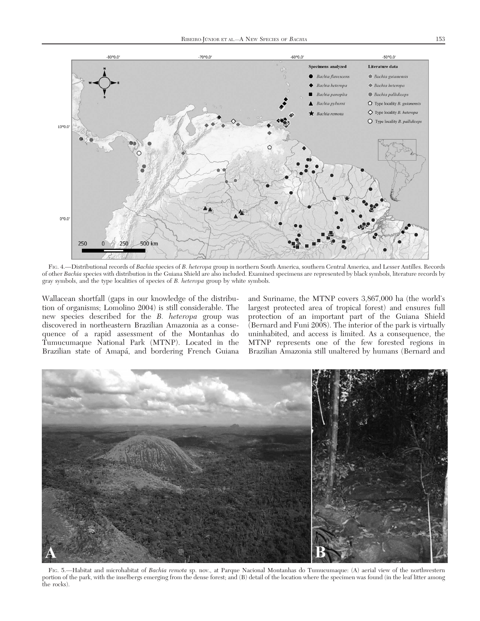

FIG. 4.—Distributional records of Bachia species of B. heteropa group in northern South America, southern Central America, and Lesser Antilles. Records of other Bachia species with distribution in the Guiana Shield are also included. Examined specimens are represented by black symbols, literature records by gray symbols, and the type localities of species of B. heteropa group by white symbols.

Wallacean shortfall (gaps in our knowledge of the distribution of organisms; Lomolino 2004) is still considerable. The new species described for the B. heteropa group was discovered in northeastern Brazilian Amazonia as a consequence of a rapid assessment of the Montanhas do Tumucumaque National Park (MTNP). Located in the Brazilian state of Amapá, and bordering French Guiana and Suriname, the MTNP covers 3,867,000 ha (the world's largest protected area of tropical forest) and ensures full protection of an important part of the Guiana Shield (Bernard and Funi 2008). The interior of the park is virtually uninhabited, and access is limited. As a consequence, the MTNP represents one of the few forested regions in Brazilian Amazonia still unaltered by humans (Bernard and



FIG. 5.—Habitat and microhabitat of Bachia remota sp. nov., at Parque Nacional Montanhas do Tumucumaque: (A) aerial view of the northwestern portion of the park, with the inselbergs emerging from the dense forest; and (B) detail of the location where the specimen was found (in the leaf litter among the rocks).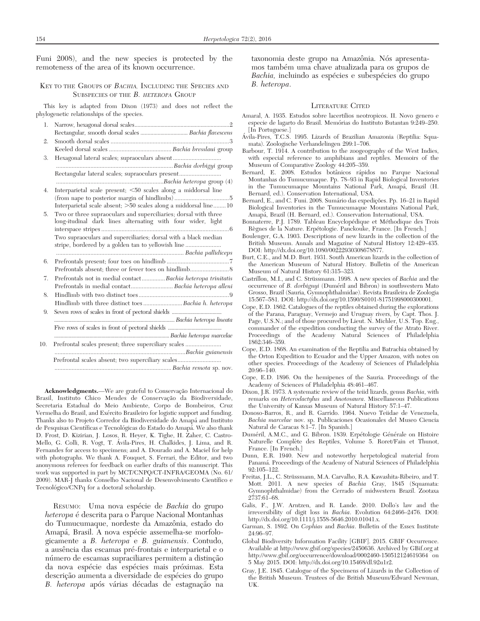Funi 2008), and the new species is protected by the remoteness of the area of its known occurrence.

# KEY TO THE GROUPS OF BACHIA, INCLUDING THE SPECIES AND SUBSPECIES OF THE B. HETEROPA GROUP

This key is adapted from Dixon (1973) and does not reflect the phylogenetic relationships of the species.

- 1. Narrow, hexagonal dorsal scales..................................................................2 Rectangular, smooth dorsal scales ................................. Bachia flavescens
- 2. Smooth dorsal scales ............................................................................3 Keeled dorsal scales ........................................ Bachia bresslaui group
- 3. Hexagonal lateral scales; supraoculars absent ............................... ...........................................................................Bachia dorbigyi group Rectangular lateral scales; supraoculars present................................
- .....................................................................Bachia heteropa group (4) 4. Interparietal scale present; <50 scales along a middorsal line (from nape to posterior margin of hindlimbs) ...................................5 Interparietal scale absent;  $>50$  scales along a middorsal line........10
- 5. Two or three supraoculars and superciliaries; dorsal with three long-itudinal dark lines alternating with four wider, light interspace stripes ..................................................................................6 Two supraoculars and superciliaries; dorsal with a black median stripe, bordered by a golden tan to yellowish line ..............................
- .................................................................................. Bachia pallidiceps 6. Prefrontals present; four toes on hindlimb ........................................7 Prefrontals absent; three or fewer toes on hindlimb.........................8 7. Prefrontals not in medial contact...............Bachia heteropa trinitatis Prefrontals in medial contact........................... Bachia heteropa alleni 8. Hindlimb with two distinct toes..........................................................9 Hindlimb with three distinct toes ........................... Bachia h. heteropa 9. Seven rows of scales in front of pectoral shields ......................................
- ............................................................................................ Bachia heteropa lineata Five rows of scales in front of pectoral shields .........................................
- ........................................................................................Bachia heteropa marcelae 10. Prefrontal scales present; three superciliary scales ....................... ....................................................................................Bachia guianensis Prefrontal scales absent; two superciliary scales................................

........................................................................... Bachia remota sp. nov.

Acknowledgments.—We are grateful to Conservação Internacional do Brasil, Instituto Chico Mendes de Conservação da Biodiversidade, Secretaria Estadual do Meio Ambiente, Corpo de Bombeiros, Cruz Vermelha do Brasil, and Exército Brasileiro for logistic support and funding. Thanks also to Projeto Corredor da Biodiversidade do Amapa´ and Instituto de Pesquisas Científicas e Tecnológicas do Estado do Amapá. We also thank D. Frost, D. Kizirian, J. Losos, R. Heyer, K. Tighe, H. Zaher, C. Castro-Mello, G. Colli, R. Vogt, T. Ávila-Pires, H. Chalkides, J. Lima, and R. Fernandes for access to specimens; and A. Dourado and A. Maciel for help with photographs. We thank A. Fouquet, S. Ferrari, the Editor, and two anonymous referees for feedback on earlier drafts of this manuscript. This work was supported in part by MCT/CNPQ/CT-INFRA/GEOMA (No. 61/ 2009). MAR-J thanks Conselho Nacional de Desenvolvimento Científico e Tecnológico/CNPq for a doctoral scholarship.

RESUMO: Uma nova espécie de Bachia do grupo heteropa é descrita para o Parque Nacional Montanhas do Tumucumaque, nordeste da Amazônia, estado do Amapá, Brasil. A nova espécie assemelha-se morfologicamente a B. heteropa e B. guianensis. Contudo, a auseˆncia das escamas pre´-frontais e interparietal e o número de escamas supraciliares permitem a distinção da nova espécie das espécies mais próximas. Esta descrição aumenta a diversidade de espécies do grupo B. heteropa após várias décadas de estagnação na taxonomia deste grupo na Amazônia. Nós apresentamos também uma chave atualizada para os grupos de Bachia, incluindo as espécies e subespécies do grupo B. heteropa.

#### LITERATURE CITED

- Amaral, A. 1935. Estudos sobre lacertilios neotropicos. II. Novo genero e especie de lagarto do Brasil. Memórias do Instituto Butantan 9:249-250. [In Portuguese.]
- Ávila-Pires, T.C.S. 1995. Lizards of Brazilian Amazonia (Reptilia: Squamata). Zoologische Verhandelingen 299:1–706.
- Barbour, T. 1914. A contribution to the zoogeography of the West Indies, with especial reference to amphibians and reptiles. Memoirs of the Museum of Comparative Zoology 44:205–359.
- Bernard, E. 2008. Estudos botânicos rápidos no Parque Nacional Montanhas do Tumucumaque. Pp. 78–93 in Rapid Biological Inventories in the Tumucumaque Mountains National Park, Amapá, Brazil (H. Bernard, ed.). Conservation International, USA.
- Bernard, E., and C. Funi. 2008. Sumário das expedições. Pp. 16–21 in Rapid Biological Inventories in the Tumucumaque Mountains National Park, Amapa´, Brazil (H. Bernard, ed.). Conservation International, USA.
- Bonnaterre, P.J. 1789. Tableau Encyclopédique et Méthodique des Trois Règnes de la Nature. Erpétologie. Panckouke, France. [In French.]
- Boulenger, G.A. 1903. Descriptions of new lizards in the collection of the British Museum. Annals and Magazine of Natural History 12:429–435. DOI: http://dx.doi.org/10.1080/00222930308678877.
- Burt, C.E., and M.D. Burt. 1931. South American lizards in the collection of the American Museum of Natural History. Bulletin of the American Museum of Natural History 61:315–323.
- Castrillon, M.I., and C. Strüssmann. 1998. A new species of Bachia and the occurrence of B. dorbignyi (Duméril and Bibron) in southwestern Mato Grosso, Brazil (Sauria, Gymnophthalmidae). Revista Brasileira de Zoologia 15:567–581. DOI: http://dx.doi.org/10.1590/S0101-81751998000300001.
- Cope, E.D. 1862. Catalogues of the reptiles obtained during the explorations of the Parana, Paraguay, Vermejo and Uruguay rivers, by Capt. Thos. J. Page, U.S.N.; and of those procured by Lieut. N. Michler, U.S. Top. Eng., commander of the expedition conducting the survey of the Atrato River. Proceedings of the Academy Natural Sciences of Philadelphia 1862:346–359.
- Cope, E.D. 1868. An examination of the Reptilia and Batrachia obtained by the Orton Expedition to Ecuador and the Upper Amazon, with notes on other species. Proceedings of the Academy of Sciences of Philadelphia  $20:96-\overline{1}40.$
- Cope, E.D. 1896. On the hemipenes of the Sauria. Proceedings of the Academy of Sciences of Philadelphia 48:461–467.
- Dixon, J.R. 1973. A systematic review of the teiid lizards, genus Bachia, with remarks on Heterodactylus and Anotosaura. Miscellaneous Publications the University of Kansas Museum of Natural History 57:1–47.
- Donoso-Barros, R., and R. Garrido. 1964. Nuevo Teiidae de Venezuela, Bachia marcelae nov. sp. Publicaciones Ocasionales del Museo Ciencia Natural de Caracas 8:1–7. [In Spanish.]
- Duméril, A.M.C., and G. Bibron. 1839. Erpétologie Générale on Histoire Naturelle Complète des Reptiles, Volume 5. Roret/Fain et Thunot, France. [In French.]
- Dunn, E.R. 1940. New and noteworthy herpetological material from Panamá. Proceedings of the Academy of Natural Sciences of Philadelphia 92:105–122.
- Freitas, J.L., C. Strüssmann, M.A. Carvalho, R.A. Kawashita-Ribeiro, and T. Mott. 2011. A new species of Bachia Gray, 1845 (Squamata: Gymnophthalmidae) from the Cerrado of midwestern Brazil. Zootaxa 2737:61–68.
- Galis, F., J.W. Arntzen, and R. Lande. 2010. Dollo's law and the irreversibility of digit loss in Bachia. Evolution 64:2466–2476. DOI: http://dx.doi.org/10.1111/j.1558-5646.2010.01041.x.
- Garman, S. 1892. On Cophias and Bachia. Bulletin of the Essex Institute 24:96–97.
- Global Biodiversity Information Facility [GBIF]. 2015. GBIF Occurrence. Available at http://www.gbif.org/species/2450636. Archived by GBif.org at http://www.gbif.org/occurrence/download/0002460-150512124619364 $\,$  on 5 May 2015. DOI: http://dx.doi.org/10.15468/dl.92u1r2.
- Gray, J.E. 1845. Catalogue of the Specimens of Lizards in the Collection of the British Museum. Trustees of die British Museum/Edward Newman, UK.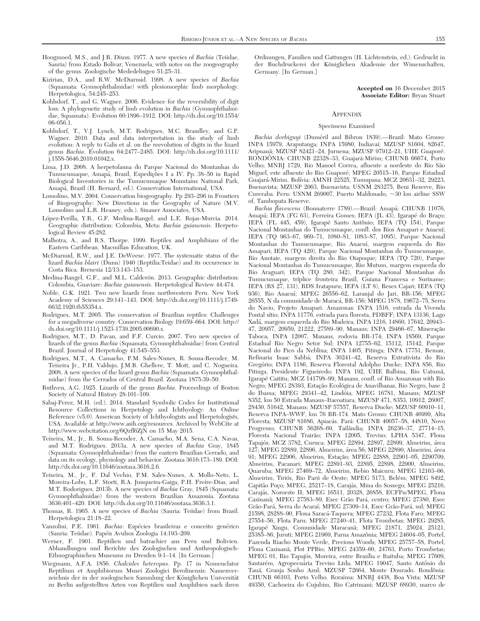- Hoogmoed, M.S., and J.R. Dixon. 1977. A new species of Bachia (Teiidae, Sauria) from Estado Bolivar, Venezuela, with notes on the zoogeography of the genus. Zoologische Mededelingen 51:25–31.
- Kizirian, D.A., and R.W. McDiarmid. 1998. A new species of Bachia (Squamata: Gymnophthalmidae) with plesiomorphic limb morphology. Herpetologica, 54:245–253.
- Kohlsdorf, T., and G. Wagner. 2006. Evidence for the reversibility of digit loss: A phylogenetic study of limb evolution in Bachia (Gymnophthalmidae, Squamata). Evolution 60:1896–1912. DOI: http://dx.doi.org/10.1554/ 06-056.1.
- Kohlsdorf, T., V.J. Lynch, M.T. Rodrigues, M.C. Brandley, and G.P. Wagner. 2010. Data and data interpretation in the study of limb evolution: A reply to Galis et al. on the reevolution of digits in the lizard genus Bachia. Evolution 64:2477–2485. DOI: http://dx.doi.org/10.1111/ j.1558-5646.2010.01042.x.
- Lima, J.D. 2008. A herpetofauna do Parque Nacional do Montanhas do Tumucumaque, Amapá, Brasil, Expedições I a IV. Pp. 38–50 in Rapid Biological Inventories in the Tumucumaque Mountains National Park, Amapa´, Brazil (H. Bernard, ed.). Conservation International, USA.
- Lomolino, M.V. 2004. Conservation biogeography. Pp 293–296 in Frontiers of Biogeography: New Directions in the Geography of Nature (M.V. Lomolino and L.R. Heaney, eds.). Sinauer Associates, USA.
- López-Perilla, Y.R., G.F. Medina-Rangel, and L.E. Rojas-Murcia. 2014. Geographic distribution: Colombia, Meta: Bachia guianensis. Herpetological Review 45:282.
- Malhotra, A., and R.S. Thorpe. 1999. Reptiles and Amphibians of the Eastern Caribbean. Macmillan Education, UK.
- McDiarmid, R.W., and J.E. DeWeese. 1977. The systematic status of the lizard Bachia blairi (Dunn) 1940 (Reptilia:Teidae) and its occurrence in Costa Rica. Brenesia 12/13:143–153.
- Medina-Rangel, G.F., and M.L. Calderón. 2013. Geographic distribution: Colombia, Guaviare: Bachia guianensis. Herpetological Review 44:474.
- Noble, G.K. 1921. Two new lizards from northwestern Peru. New York Academy of Sciences 29:141–143. DOI: http://dx.doi.org/10.1111/j.1749- 6632.1920.tb55354.x.
- Rodrigues, M.T. 2005. The conservation of Brazilian reptiles: Challenges for a megadiverse country. Conservation Biology 19:659–664. DOI: http:// dx.doi.org/10.1111/j.1523-1739.2005.00690.x.
- Rodrigues, M.T., D. Pavan, and F.F. Curcio. 2007. Two new species of lizards of the genus Bachia (Squamata, Gymnophthalmidae) from Central Brazil. Journal of Herpetology 41:545–553.
- Rodrigues, M.T., A. Camacho, P.M. Sales-Nunes, R. Sousa-Recoder, M. Teixeira Jr., P.H. Valdujo, J.M.B. Ghellere, T. Mott, and C. Nogueira. 2008. A new species of the lizard genus Bachia (Squamata: Gymnophthalmidae) from the Cerrados of Central Brazil. Zootaxa 1875:39–50.
- Ruthven, A.G. 1925. Lizards of the genus Bachia. Proceedings of Boston Society of Natural History 28:101–109.
- Sabaj-Perez, M.H. (ed.). 2014. Standard Symbolic Codes for Institutional Resource Collections in Herpetology and Ichthyology: An Online Reference (v5.0). American Society of Ichthyologists and Herpetologists, USA. Available at http://www.asih.org/resources. Archived by WebCite at http://www.webcitation.org/6Qzfl6ZjN on 15 May 2015.
- Teixeira, M., Jr., R. Sousa-Recoder, A. Camacho, M.A. Sena, C.A. Navas, and M.T. Rodrigues. 2013a. A new species of Bachia Gray, 1845 (Squamata: Gymnophthalmidae) from the eastern Brazilian Cerrado, and data on its ecology, physiology and behavior. Zootaxa 3616:173–189. DOI: http://dx.doi.org/10.11646/zootaxa.3616.2.6.
- Teixeira, M., Jr., F. Dal Vechio, P.M. Sales-Nunes, A. Mollo-Neto, L. Moreira-Lobo, L.F. Storti, R.A. Junqueira-Gaiga, P.H. Freire-Dias, and M.T. Rodorigues. 2013b. A new species of Bachia Gray, 1845 (Squamata: Gymnophthalmidae) from the western Brazilian Amazonia. Zootaxa 3636:401–420. DOI: http://dx.doi.org/10.11646/zootaxa.3636.3.1.
- Thomas, R. 1965. A new species of Bachia (Sauria: Teiidae) from Brasil. Herpetologica 21:18–22.
- Vanzolini, P.E. 1961. Bachia: Espécies brasileiras e conceito genérico (Sauria: Teiidae). Pape´is Avulsos Zoologia 14:193–209.
- Werner, F. 1901. Reptilien und batrachier aus Peru und Bolivien. Abhandlungen und Berichte des Zoologischen und Anthropologisch-Ethnographischen Museums zu Dresden 9:1–14. [In German.]
- Wiegmann, A.F.A. 1856. Chalcides heteropus. Pp. 17 in Nomenclator Reptilium et Amphibiorum Musei Zoologici Berolinensis: Namenverzeichnis der in der zoologischen Sammlung der Königlichen Universität zu Berlin aufgestellten Arten von Reptilien und Amphibien nach ihren

Ordnungen, Familien und Gattungen (H. Lichtenstein, ed.). Gedruckt in der Buchdruckerei der Königlichen Akademie der Wissenschaften, Germany. [In German.]

> Accepted on 16 December 2015 Associate Editor: Bryan Stuart

#### **APPENDIX**

#### Specimens Examined

Bachia dorbignyi (Duméril and Bibron 1839).—Brazil: Mato Grosso: INPA 15979, Araputanga; INPA 15980, Indiavaı´; MZUSP 81604, 82647, Aripuanã; MZUSP 82421-24, Juruena; MZUSP 97912-21, UHE Guaporé. RONDÔNIA: CHUNB 22328-33, Guajará-Mirim; CHUNB 66674, Porto Velho; MNRJ 1729, Rio Manoel Correa, afluente a nordeste do Rio São Miguel, este afluente do Rio Guaporé; MPEG 20515-16, Parque Estadual Guajará-Mirim. Bolívia: AMNH 22525, Tumupasa; MCZ 20631-32, 29223, Buenavista; MZUSP 2063, Buenavista; USNM 283275, Beni Reserve, Rio Cureraba. Peru: USNM 269007, Puerto Maldonado, ~30 km airline SSW of, Tambopata Reserve.

Bachia flavescens (Bonnaterre 1789).—Brazil: Amapá: CHUNB 11076, Amapá; IEPA (FG 63), Ferreira Gomes; IEPA (JL 43), Igarapé do Braço; IEPA (FL 445, 459), Igarapé Santo Antônio; IEPA (TQ 154), Parque Nacional Montanhas do Tumucumaque, confl. dos Rios Amapari e Anacuı´; IEPA (TQ 963–67, 969–71, 1080–81, 1083–87, 1095), Parque Nacional Montanhas do Tumucumaque, Rio Anacuı´, margem esquerda do Rio Amapari; IEPA (TQ 420), Parque Nacional Montanhas do Tumucumaque, Rio Anotaie, margem direita do Rio Oiapoque; IEPA (TQ 720), Parque Nacional Montanhas do Tumucumaque, Rio Mutum, margem esquerda do Rio Araguari; IEPA (TQ 280, 342), Parque Nacional Montanhas do Tumucumaque, tríplice fronteira Brasil, Guiana Francesa e Suriname; IEPA (RS 27, 131), RDS Iratapuru; IEPA (LT 8), Resex Cajari; IEPA (TQ 936), Rio Anacuí; MPEG 26556-62, Laranjal do Jari, BR-156; MPEG 26555, N da comunidade de Maraca´, BR-156; MPEG 1878, 19672–75, Serra do Navio, Projeto Amapari. Amazonas: INPA 1516, estrada da Vivenda Pontal sítio; INPA 11776, estrada para floresta, PDBFF; INPA 13136, Lago Xada´, margem esquerda do Rio Madeira; INPA 1216, 14860, 17642, 20943– 47, 20957, 20959, 21222, 27589–90, Manaus; INPA 29466–67, Mineração Taboca; INPA 12007, Manaus, rodovia BR-174; INPA 18569, Parque Estadual Rio Negro Setor Sul; INPA 12755–62, 15112, 15142, Parque Nacional do Pico da Neblina; INPA 1405, Pitinga; INPA 17751, Reman, Refinaria Isaac Sabba´; INPA 30241–42, Reserva Extrativista do Rio Gregório; INPA 1186, Reserva Florestal Adolpho Ducke; INPA 856, Rio Pitinga, Presidente Figueiredo; INPA 192, UHE Balbina, Rio Uatumã, Igarape´ Caititu; MCZ 141798–99, Manaus, confl. of Rio Amazonas with Rio Negro; MPEG 28393, Estação Ecológica de Anavilhanas, Rio Negro, base 2 do Ibama; MPEG 29341-42, Lindóia; MPEG 16781, Manaus; MZUSP 8352, km 50 Estrada Manaus–Itacoatiara; MZUSP 471, 8353, 10912, 26007, 28430, 51642, Manaus; MZUSP 57557, Reserva Ducke; MZUSP 60910–11, Reserva INPA–WWF, km 76 BR-174. Mato Grosso: CHUNB 46999, Alta Floresta; MZUSP 81686, Apiacás. Pará: CHUNB 40057-58, 44810, Novo Progresso; CHUNB 56268-69, Tailândia; INPA 26236-37, 27714-15, Floresta Nacional Trairão; INPA 12005, Treviso; LPHA 5347, Flona Tapajós; MCZ 3782, Curuca; MPEG 22894, 22897, 22899, Almeirim, área 127; MPEG 22889, 22896, Almeirim, a´rea 56; MPEG 22890, Almeirim, a´rea 91; MPEG 22906, Almeirim, Estação; MPEG 22888, 22901-05, 2290709, Almeirim, Pacanari; MPEG 22891–93, 22895, 22898, 22900, Almeirim, Quaruba; MPEG 27469–72, Almeirim, Rebio Maicuru; MPEG 12163–66, Almeirim, Tiriós, Rio Parú de Oeste; MPEG 5173, Belém; MPEG 8492, Capitão Poço; MPEG, 25217-18, Carajás, Mina do Sossego; MPEG 25216, Carajás, Noroeste II; MPEG 16511, 20328, 26858, ECFPn/MPEG, Flona Caxiuanã; MPEG 27583-89, Esec Grão Pará, centro; MPEG 27380, Esec Grão-Pará, Serra do Acaraí; MPEG 27309-14, Esec Grão-Pará, sul; MPEG 21598, 28288–90, Flona Saraca´-Taquera; MPEG 27232, Flota Faro; MPEG 27554–56, Flota Paru; MPEG 27240–41, Flota Trombetas; MPEG 29285, Igarapé Xingu, Comunidade Maracanã; MPEG 21871, 25024, 25121, 25385-86, Juruti; MPEG 21969, Parna Amazônia; MPEG 24604-05, Portel, Fazenda Riacho Monte Verde, Precious Woods; MPEG 25757–58, Portel, Flona Caxiuanã, Plot PPBio; MPEG 24359-60, 24763, Porto Trombetas; MPEG 01, Rio Tapajós, Moreira, entre Brasília e Itaituba; MPEG 17609, Santarém, Agropecuária Treviso Ltda; MPEG 19047, Santo Antônio do Tauá, Granja Sonho Azul; MZUSP 72664, Monte Dourado. Rondônia: CHUNB 66103, Porto Velho. Roraima: MNRJ 4438, Boa Vista; MZUSP 49350, Cachoeira do Cujubim, Rio Catrimani; MZUSP 68930, marco de